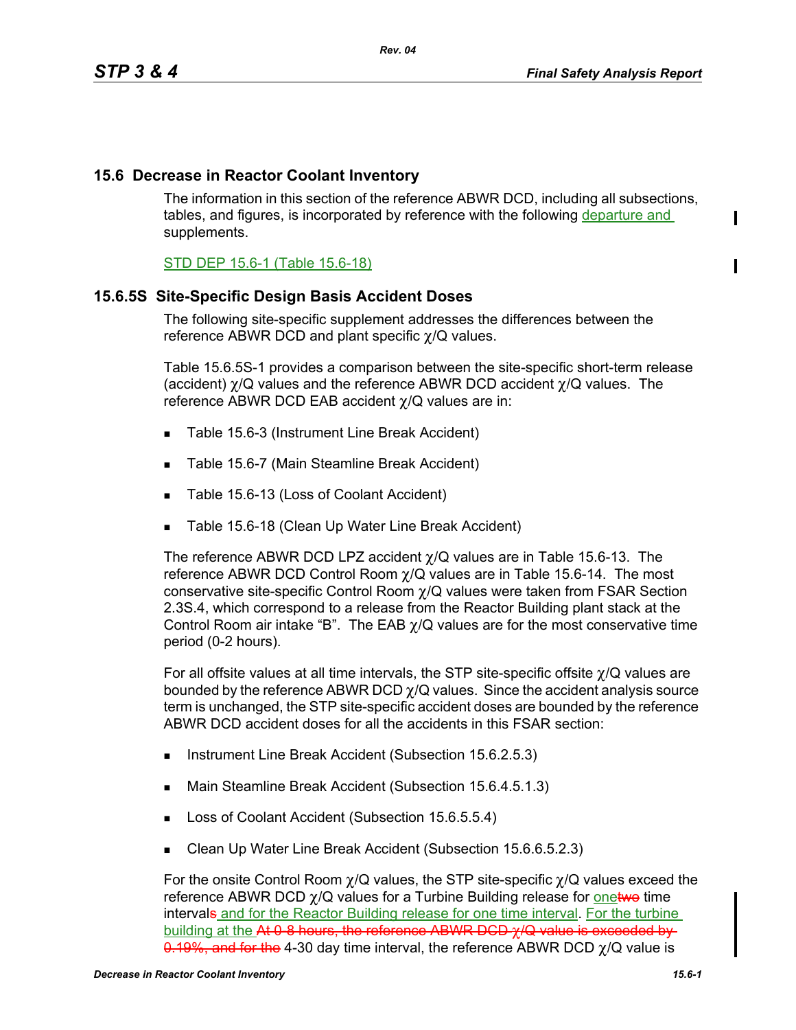ı

# **15.6 Decrease in Reactor Coolant Inventory**

The information in this section of the reference ABWR DCD, including all subsections, tables, and figures, is incorporated by reference with the following departure and supplements.

## STD DEP 15.6-1 (Table 15.6-18)

## **15.6.5S Site-Specific Design Basis Accident Doses**

The following site-specific supplement addresses the differences between the reference ABWR DCD and plant specific χ/Q values.

Table 15.6.5S-1 provides a comparison between the site-specific short-term release (accident)  $\chi$ /Q values and the reference ABWR DCD accident  $\chi$ /Q values. The reference ABWR DCD EAB accident χ/Q values are in:

- Table 15.6-3 (Instrument Line Break Accident)
- Table 15.6-7 (Main Steamline Break Accident)
- Table 15.6-13 (Loss of Coolant Accident)
- Table 15.6-18 (Clean Up Water Line Break Accident)

The reference ABWR DCD LPZ accident  $\chi$ /Q values are in Table 15.6-13. The reference ABWR DCD Control Room  $\chi$ /Q values are in Table 15.6-14. The most conservative site-specific Control Room χ/Q values were taken from FSAR Section 2.3S.4, which correspond to a release from the Reactor Building plant stack at the Control Room air intake "B". The EAB  $\chi$ /Q values are for the most conservative time period (0-2 hours).

For all offsite values at all time intervals, the STP site-specific offsite χ/Q values are bounded by the reference ABWR DCD  $\gamma$ /Q values. Since the accident analysis source term is unchanged, the STP site-specific accident doses are bounded by the reference ABWR DCD accident doses for all the accidents in this FSAR section:

- Instrument Line Break Accident (Subsection 15.6.2.5.3)
- Main Steamline Break Accident (Subsection 15.6.4.5.1.3)
- Loss of Coolant Accident (Subsection 15.6.5.5.4)
- Clean Up Water Line Break Accident (Subsection 15.6.6.5.2.3)

For the onsite Control Room  $\chi$ /Q values, the STP site-specific  $\chi$ /Q values exceed the reference ABWR DCD  $\gamma$ /Q values for a Turbine Building release for onetwo time intervals and for the Reactor Building release for one time interval. For the turbine building at the At 0-8 hours, the reference ABWR DCD  $\gamma$ /Q value is exceeded by  $0.19\%$ , and for the 4-30 day time interval, the reference ABWR DCD  $\gamma$ /Q value is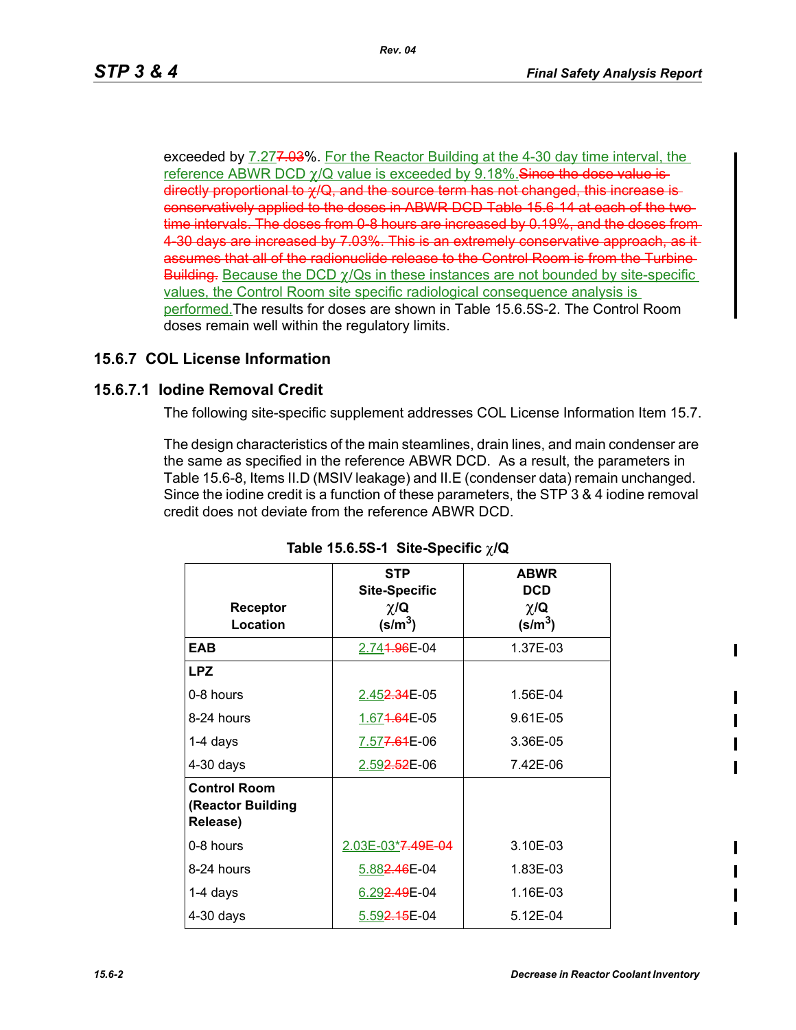exceeded by 7.277.03%. For the Reactor Building at the 4-30 day time interval, the reference ABWR DCD  $\gamma$ /Q value is exceeded by 9.18%. Since the dose value is directly proportional to χ/Q, and the source term has not changed, this increase is conservatively applied to the doses in ABWR DCD Table 15.6-14 at each of the two time intervals. The doses from 0-8 hours are increased by 0.19%, and the doses from 4-30 days are increased by 7.03%. This is an extremely conservative approach, as it assumes that all of the radionuclide release to the Control Room is from the Turbine Building. Because the DCD  $\gamma$ /Qs in these instances are not bounded by site-specific values, the Control Room site specific radiological consequence analysis is performed.The results for doses are shown in Table 15.6.5S-2. The Control Room doses remain well within the regulatory limits.

## **15.6.7 COL License Information**

### **15.6.7.1 Iodine Removal Credit**

The following site-specific supplement addresses COL License Information Item 15.7.

The design characteristics of the main steamlines, drain lines, and main condenser are the same as specified in the reference ABWR DCD. As a result, the parameters in Table 15.6-8, Items II.D (MSIV leakage) and II.E (condenser data) remain unchanged. Since the iodine credit is a function of these parameters, the STP 3 & 4 iodine removal credit does not deviate from the reference ABWR DCD.

|                                                      | <b>STP</b>                                             | <b>ABWR</b>                                  |
|------------------------------------------------------|--------------------------------------------------------|----------------------------------------------|
| Receptor<br>Location                                 | <b>Site-Specific</b><br>$\chi/\mathbf{Q}$<br>$(s/m^3)$ | <b>DCD</b><br>$\chi/\mathbf{Q}$<br>$(s/m^3)$ |
| <b>EAB</b>                                           | 2.74 <del>1.96</del> E-04                              | 1.37E-03                                     |
| <b>LPZ</b>                                           |                                                        |                                              |
| 0-8 hours                                            | 2.452.34E-05                                           | 1.56E-04                                     |
| 8-24 hours                                           | 1.674.64E-05                                           | 9.61E-05                                     |
| $1-4$ days                                           | 7.577.61E-06                                           | 3.36E-05                                     |
| $4-30$ days                                          | 2.59 <del>2.52</del> E-06                              | 7.42E-06                                     |
| <b>Control Room</b><br>(Reactor Building<br>Release) |                                                        |                                              |
| 0-8 hours                                            | 2.03E-03*7.49E-04                                      | 3.10E-03                                     |
| 8-24 hours                                           | 5.882.46E-04                                           | 1.83E-03                                     |
| 1-4 days                                             | 6.29 <del>2.49</del> E-04                              | 1.16E-03                                     |
| $4-30$ days                                          | 5.592.45E-04                                           | 5.12E-04                                     |

### **Table 15.6.5S-1 Site-Specific** χ**/Q**

ı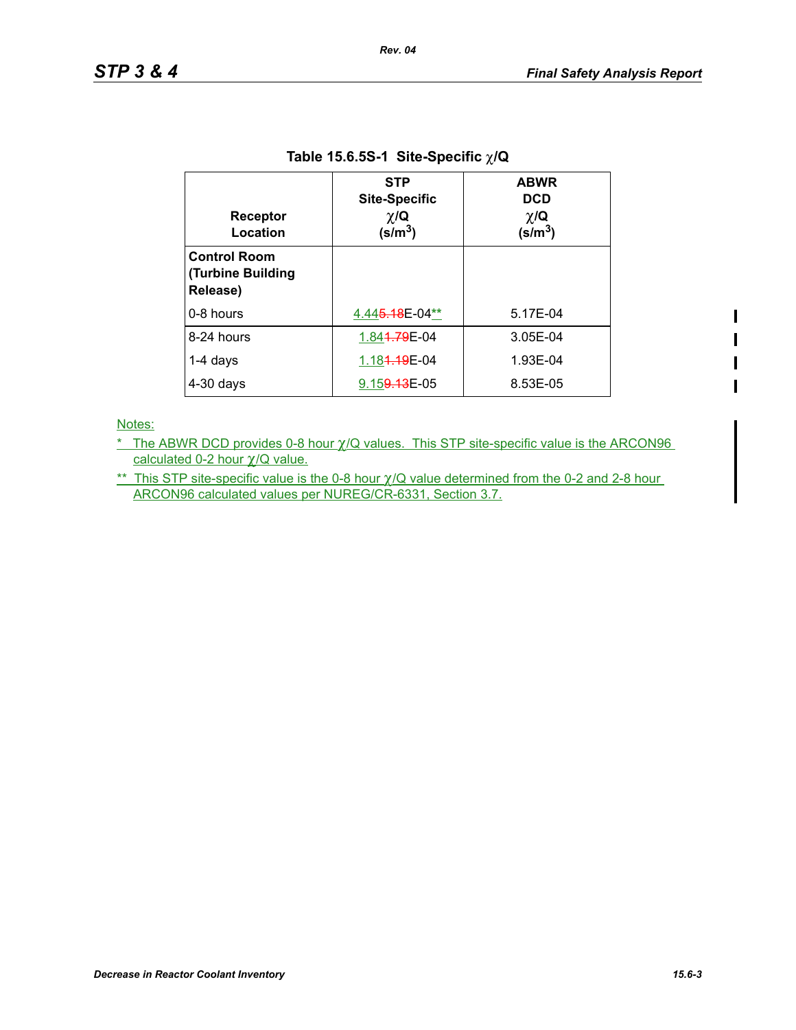$\blacksquare$ 

| <b>Receptor</b><br>Location                                 | <b>STP</b><br><b>Site-Specific</b><br>$\chi/\mathbf{Q}$<br>(s/m <sup>3</sup> ) | <b>ABWR</b><br><b>DCD</b><br>$\chi/\mathbf{Q}$<br>(s/m $^3$ ) |
|-------------------------------------------------------------|--------------------------------------------------------------------------------|---------------------------------------------------------------|
| <b>Control Room</b><br><b>(Turbine Building</b><br>Release) |                                                                                |                                                               |
| 0-8 hours                                                   | 4.44 <del>5.18</del> E-04**                                                    | 5.17E-04                                                      |
| 8-24 hours                                                  | 1.84 <del>1.79</del> E-04                                                      | 3.05E-04                                                      |
| $1-4$ days                                                  | 1.184.19E-04                                                                   | 1.93E-04                                                      |
| $4-30$ days                                                 | 9.15 <del>9.13</del> E-05                                                      | 8.53E-05                                                      |

#### **Table 15.6.5S-1 Site-Specific** χ**/Q**

Notes:

\* The ABWR DCD provides 0-8 hour χ/Q values. This STP site-specific value is the ARCON96 calculated 0-2 hour χ/Q value.

\*\* This STP site-specific value is the 0-8 hour  $\gamma/Q$  value determined from the 0-2 and 2-8 hour ARCON96 calculated values per NUREG/CR-6331, Section 3.7.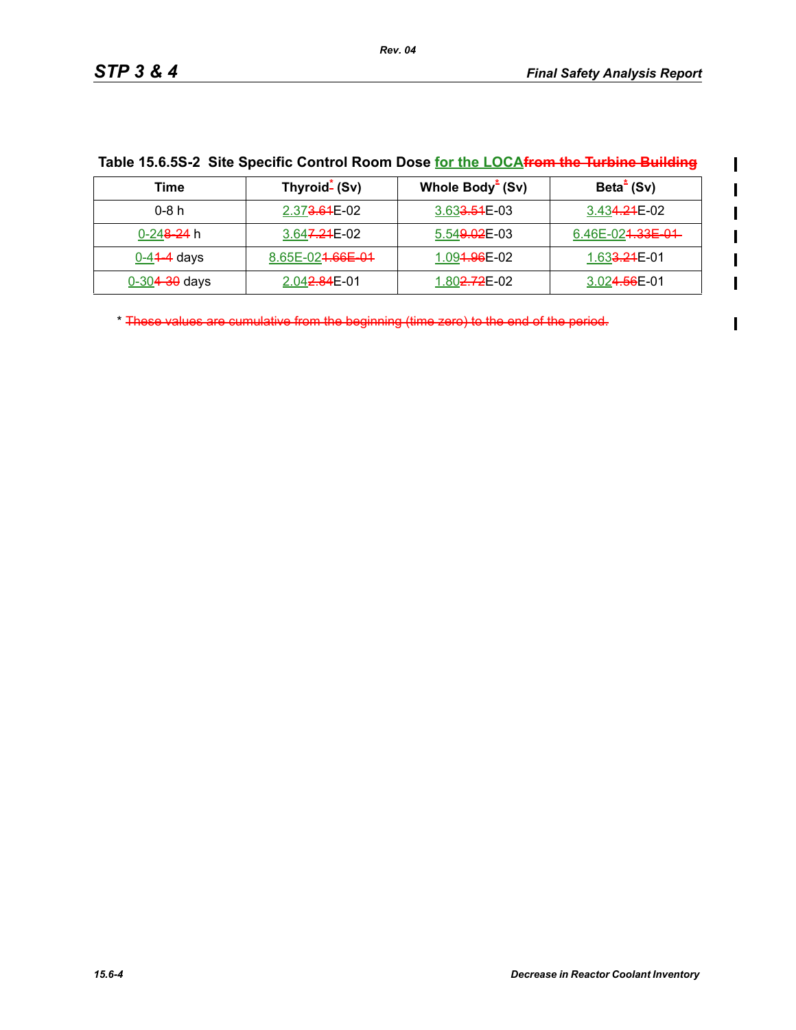$\mathbf{l}$  $\mathbf I$ 

 $\blacksquare$ 

| Time                   | Thyroid- (Sv)                | Whole Body <sup>*</sup> (Sv) | Beta <sup>*</sup> (Sv)         |
|------------------------|------------------------------|------------------------------|--------------------------------|
| 0-8 h                  | 2.37 <del>3.61</del> E-02    | 3.63 <del>3.51</del> E-03    | 3.43 <del>4.21</del> E-02      |
| 0-24 <del>8-24</del> h | 3.64 <del>7.21</del> E-02    | 5.54 <del>9.02</del> E-03    | 6.46E-02 <del>1.33E-01</del> - |
| $0 - 4 + 4$ days       | 8.65E-02 <del>1.66E-01</del> | 1.09 <del>1.96</del> E-02    | 1.63 <del>3.21</del> E-01      |
| $0 - 304 - 30$ days    | 2.04 <del>2.84</del> E-01    | 1.80 <del>2.72</del> E-02    | 3.02 <del>4.56</del> E-01      |

| Table 15.6.5S-2 Site Specific Control Room Dose for the LOCAfrom the Turbine Building |  |
|---------------------------------------------------------------------------------------|--|
|---------------------------------------------------------------------------------------|--|

\* These values are cumulative from the beginning (time zero) to the end of the period.